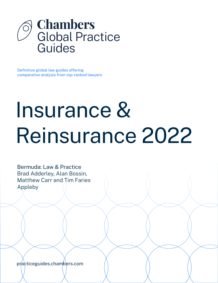

Definitive global law guides offering comparative analysis from top-ranked lawyers

# Insurance & Reinsurance 2022

Bermuda: Law & Practice Brad Adderley, Alan Bossin, Matthew Carr and Tim Faries Appleby

[practiceguides.chambers.com](http://practiceguides.chambers.com)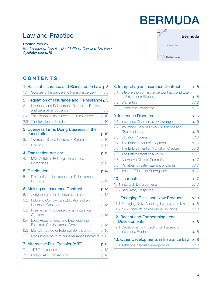## BERMUDA

## Law and Practice

*Contributed by: Brad Adderley, Alan Bossin, Matthew Carr and Tim Faries Appleb[y see p.19](#page-18-0)*



#### **CONTENTS**

|     | 1. Basis of Insurance and Reinsurance Law          | p.3  |
|-----|----------------------------------------------------|------|
| 1.1 | Sources of Insurance and Reinsurance Law           | p.3  |
|     | 2. Regulation of Insurance and Reinsurance p.3     |      |
| 2.1 | Insurance and Reinsurance Regulatory Bodies        |      |
|     | and Legislative Guidance                           | p.3  |
| 2.2 | The Writing of Insurance and Reinsurance           | p.10 |
| 2.3 | The Taxation of Premium                            | p.10 |
|     | 3. Overseas Firms Doing Business in the            |      |
|     | <b>Jurisdiction</b>                                | p.10 |
| 3.1 | Overseas-Based Insurers or Reinsurers              | p.10 |
| 3.2 | Fronting                                           | p.12 |
|     | 4. Transaction Activity                            | p.12 |
| 4.1 | M&A Activities Relating to Insurance               |      |
|     | Companies                                          | p.12 |
|     | 5. Distribution                                    | p.14 |
| 5.1 | Distribution of Insurance and Reinsurance          |      |
|     | Products                                           | p.14 |
|     | 6. Making an Insurance Contract                    | p.15 |
| 6.1 | Obligations of the Insured and Insurer             | p.15 |
| 6.2 | Failure to Comply with Obligations of an           |      |
|     | <b>Insurance Contract</b>                          | p.15 |
| 6.3 | Intermediary Involvement in an Insurance           |      |
|     | Contract                                           | p.15 |
| 6.4 | Legal Requirements and Distinguishing              |      |
|     | Features of an Insurance Contract                  | p.15 |
| 6.5 | Multiple Insured or Potential Beneficiaries        | p.15 |
| 6.6 | <b>Consumer Contracts or Reinsurance Contracts</b> | p.15 |
|     | 7. Alternative Risk Transfer (ART)                 | p.15 |
| 7.1 | <b>ART Transactions</b>                            | p.15 |
| 7.2 | Foreign ART Transactions                           | p.16 |

|     | 8. Interpreting an Insurance Contract                                   | p.16 |
|-----|-------------------------------------------------------------------------|------|
| 8.1 | Interpretation of Insurance Contracts and Use                           |      |
|     | of Extraneous Evidence                                                  | p.16 |
| 8.2 | <b>Warranties</b>                                                       | p.16 |
| 8.3 | <b>Conditions Precedent</b>                                             | p.16 |
|     | 9. Insurance Disputes                                                   | p.16 |
| 9.1 | <b>Insurance Disputes over Coverage</b>                                 | p.16 |
| 9.2 | Insurance Disputes over Jurisdiction and<br>Choice of Law               | p.16 |
| 9.3 | <b>Litigation Process</b>                                               | p.16 |
| 9.4 | The Enforcement of Judgments                                            | p.16 |
| 9.5 | The Enforcement of Arbitration Clauses                                  | p.16 |
| 9.6 | The Enforcement of Awards                                               | p.17 |
| 9.7 | Alternative Dispute Resolution                                          | p.17 |
| 9.8 | Penalties for Late Payment of Claims                                    | p.17 |
| 9.9 | Insurers' Rights of Subrogation                                         | p.17 |
|     | 10. Insurtech                                                           | p.17 |
|     | 10.1 Insurtech Developments                                             | p.17 |
|     | 10.2 Regulatory Response                                                | p.17 |
|     | 11. Emerging Risks and New Products                                     | p.18 |
|     | 11.1 Emerging Risks Affecting the Insurance Market p.18                 |      |
|     | 11.2 New Products or Alternative Solutions                              | p.18 |
|     | 12. Recent and Forthcoming Legal                                        |      |
|     | <b>Developments</b>                                                     | p.18 |
|     | 12.1 Developments Impacting on Insurers or<br><b>Insurance Products</b> |      |
|     |                                                                         | p.18 |
|     | 13. Other Developments in Insurance Law                                 | p.18 |
|     | 13.1 Additional Market Developments                                     | p.18 |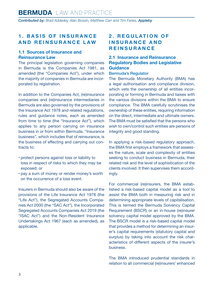#### <span id="page-2-0"></span>**1. BASIS OF INSURANCE AND REINSURANCE LAW**

#### **1.1 Sources of Insurance and Reinsurance Law**

The principal legislation governing companies in Bermuda is the Companies Act 1981, as amended (the "Companies Act"), under which the majority of companies in Bermuda are incorporated by registration.

In addition to the Companies Act, (re)insurance companies and (re)insurance intermediaries in Bermuda are also governed by the provisions of the Insurance Act 1978 and related regulations, rules and guidance notes, each as amended from time to time (the "Insurance Act"), which applies to any person carrying on insurance business in or from within Bermuda. "Insurance business", which includes that of reinsurance, is the business of effecting and carrying out contracts to:

- protect persons against loss or liability to loss in respect of risks to which they may be exposed; or
- pay a sum of money or render money's worth on the occurrence of a loss event.

Insurers in Bermuda should also be aware of the provisions of the Life Insurance Act 1978 (the "Life Act"), the Segregated Accounts Companies Act 2000 (the "SAC Act"), the Incorporated Segregated Accounts Companies Act 2019 (the "ISAC Act") and the Non-Resident Insurance Undertakings Act 1967 (each as amended), as applicable.

#### **2. REGULATION OF I N S U R A N C E A N D REINSURANCE**

#### **2.1 Insurance and Reinsurance Regulatory Bodies and Legislative Guidance**

#### Bermuda's Regulator

The Bermuda Monetary Authority (BMA) has a legal authorisation and compliance division, which vets the ownership of all entities incorporating or forming in Bermuda and liaises with the various divisions within the BMA to ensure compliance. The BMA carefully scrutinises the ownership of these entities, requiring information on the direct, intermediate and ultimate owners. The BMA must be satisfied that the persons who wish to own/control such entities are persons of integrity and good standing.

In applying a risk-based regulatory approach, the BMA first employs a framework that assesses the nature, scale and complexity of entities seeking to conduct business in Bermuda, their related risk and the level of sophistication of the clients involved. It then supervises them accordingly.

For commercial (re)insurers, the BMA established a risk-based capital model as a tool to assist the BMA both in measuring risk and in determining appropriate levels of capitalisation. This is termed the Bermuda Solvency Capital Requirement (BSCR) or an in-house (re)insurer solvency capital model approved by the BMA. The BSCR model is a risk-based capital model that provides a method for determining an insurer's capital requirements (statutory capital and surplus) by taking into account the risk characteristics of different aspects of the insurer's business.

The BMA introduced prudential standards in relation to all commercial (re)insurers' enhanced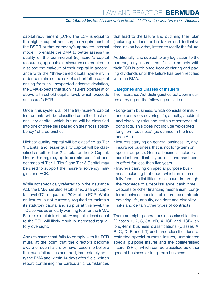capital requirement (ECR). The ECR is equal to the higher capital and surplus requirement of the BSCR or that company's approved internal model. To enable the BMA to better assess the quality of the commercial (re)insurer's capital resources, applicable (re)insurers are required to disclose the makeup of their capital in accordance with the "three-tiered capital system". In order to minimise the risk of a shortfall in capital arising from an unexpected adverse deviation, the BMA expects that such insurers operate at or above a threshold capital level, which exceeds an insurer's ECR.

Under this system, all of the (re)insurer's capital instruments will be classified as either basic or ancillary capital, which in turn will be classified into one of three tiers based on their "loss absorbency" characteristics.

Highest quality capital will be classified as Tier 1 Capital and lesser quality capital will be classified as either Tier 2 Capital or Tier 3 Capital. Under this regime, up to certain specified percentages of Tier 1, Tier 2 and Tier 3 Capital may be used to support the insurer's solvency margins and ECR.

While not specifically referred to in the Insurance Act, the BMA has also established a target capital level (TCL) equal to 120% of its ECR. While an insurer is not currently required to maintain its statutory capital and surplus at this level, the TCL serves as an early warning tool for the BMA. Failure to maintain statutory capital at least equal to the TCL will likely result in increased regulatory oversight.

Any (re)insurer that fails to comply with its ECR must, at the point that the directors become aware of such failure or have reason to believe that such failure has occurred, immediately notify the BMA and within 14 days after file a written report containing the particular circumstances

that lead to the failure and outlining their plan (including actions to be taken and indicative timeline) on how they intend to rectify the failure.

Additionally, and subject to any legislation to the contrary, any insurer that fails to comply with their ECR is prohibited from declaring and paying dividends until the failure has been rectified with the BMA.

#### Categories and Classes of Insurers

The Insurance Act distinguishes between insurers carrying on the following activities.

- Long-term business, which consists of insurance contracts covering life, annuity, accident and disability risks and certain other types of contracts. This does not include "excepted long-term business" (as defined in the Insurance Act).
- Insurers carrying on general business, ie, any insurance business that is not long-term or special purpose. General business includes accident and disability policies and has been in effect for less than five years.
- Insurers carrying on special purpose business, including that under which an insurer fully funds its liabilities to its insureds through the proceeds of a debt issuance, cash, time deposits or other financing mechanism. Longterm business consists of insurance contracts covering life, annuity, accident and disability risks and certain other types of contracts.

There are eight general business classifications (Classes 1, 2, 3, 3A, 3B, 4, IGB and IIGB), six long-term business classifications (Classes A, B, C, D, E and ILT) and three classifications of restricted special purpose insurer, unrestricted special purpose insurer and the collateralised insurer (SPIs), which can be classified as either general business or long-term business.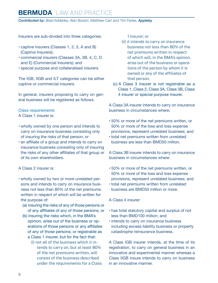*Contributed by: Brad Adderley, Alan Bossin, Matthew Carr and Tim Faries, Appleby*

Insurers are sub-divided into three categories:

- captive insurers (Classes 1, 2, 3, A and B) (Captive Insurers);
- commercial insurers (Classes 3A, 3B, 4, C, D and E) (Commercial Insurers); and
- special purpose and collateralised insurers.

The IGB, IIGB and ILT categories can be either captive or commercial insurers.

In general, insurers proposing to carry on general business will be registered as follows.

#### *Class requirements*

A Class 1 insurer is:

- wholly owned by one person and intends to carry on insurance business consisting only of insuring the risks of that person; or
- an affiliate of a group and intends to carry on insurance business consisting only of insuring the risks of any other affiliates of that group or of its own shareholders.

#### A Class 2 insurer is:

- wholly owned by two or more unrelated persons and intends to carry on insurance business not less than 80% of the net premiums written in respect of which will be written for the purpose of:
	- (a) insuring the risks of any of those persons or of any affiliates of any of those persons; or
	- (b) insuring the risks which, in the BMA's opinion, arise out of the business or operations of those persons or any affiliates of any of those persons; or registrable as a Class 1 insurer, but for the fact that:
		- (i) not all of the business which it intends to carry on, but at least 80% of the net premiums written, will consist of the business described under the requirements for a Class

1 insurer; or

- (ii) it intends to carry on insurance business not less than 80% of the net premiums written in respect of which will, in the BMA's opinion, arise out of the business or operations of the person by whom it is owned or any of the affiliates of that person.
- (c) A Class 3 insurer is not registrable as a Class 1, Class 2, Class 3A, Class 3B, Class 4 insurer or special purpose insurer.

A Class 3A insurer intends to carry on insurance business in circumstances where:

- 50% or more of the net premiums written, or 50% or more of the loss and loss expense provisions, represent unrelated business; and
- total net premiums written from unrelated business are less than BMD50 million.

A Class 3B insurer intends to carry on insurance business in circumstances where:

- 50% or more of the net premiums written, or 50% or more of the loss and loss expense provisions, represent unrelated business; and
- total net premiums written from unrelated business are BMD50 million or more.

A Class 4 insurer:

- has total statutory capital and surplus of not less than BMD100 million; and
- intends to carry on insurance business including excess liability business or property catastrophe reinsurance business.

A Class IGB insurer intends, at the time of its registration, to carry on general business in an innovative and experimental manner whereas a Class IIGB insure intends to carry on business in an innovative manner.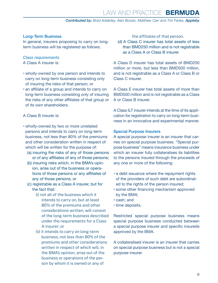#### Long-Term Business

In general, insurers proposing to carry on longterm business will be registered as follows.

#### *Class requirements*

A Class A insurer is:

- wholly-owned by one person and intends to carry on long-term business consisting only of insuring the risks of that person; or
- an affiliate of a group and intends to carry on long-term business consisting only of insuring the risks of any other affiliates of that group or of its own shareholders.

#### A Class B insurer is:

- wholly-owned by two or more unrelated persons and intends to carry on long-term business, not less than 80% of the premiums and other consideration written in respect of which will be written for the purpose of:
	- (a) insuring the risks of any of those persons or of any affiliates of any of those persons;
	- (b) insuring risks which, in the BMA's opinion, arise out of the business or operations of those persons or any affiliates of any of those persons; or
	- (c) registrable as a Class A insurer, but for the fact that:
		- (i) not all of the business which it intends to carry on, but at least 80% of the premiums and other considerations written, will consist of the long-term business described under the requirements for a Class A insurer; or
		- (ii) it intends to carry on long-term business, not less than 80% of the premiums and other considerations written in respect of which will, in the BMA's opinion, arise out of the business or operations of the person by whom it is owned or any of

the affiliates of that person.

(d) A Class C insurer has total assets of less than BMD250 million and is not registrable as a Class A or Class B insurer.

A Class D insurer has total assets of BMD250 million or more, but less than BMD500 million, and is not registrable as a Class A or Class B or Class C insurer.

A Class E insurer has total assets of more than BMD500 million and is not registrable as a Class A or Class B insurer.

A Class ILT insurer intends at the time of its application for registration to carry on long-term business in an innovative and experimental manner.

#### Special Purpose Insurers

A special purpose insurer is an insurer that carries on special purpose business. "Special purpose business" means insurance business under which an insurer fully collateralises its liabilities to the persons insured through the proceeds of any one or more of the following:

- a debt issuance where the repayment rights of the providers of such debt are subordinated to the rights of the person insured;
- some other financing mechanism approved by the BMA;
- cash; and
- time deposits.

Restricted special purpose business means special purpose business conducted between a special purpose insurer and specific insureds approved by the BMA.

A collateralised insurer is an insurer that carries on special purpose business but is not a special purpose insurer.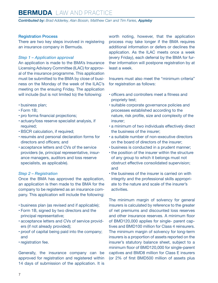*Contributed by: Brad Adderley, Alan Bossin, Matthew Carr and Tim Faries, Appleby*

#### Registration Process

There are two key steps involved in registering an insurance company in Bermuda.

#### *Step 1 – Application approval*

An application is made to the BMA's Insurance Licensing Advisory Committee (ILAC) for approval of the insurance programme. This application must be submitted to the BMA by close of business on the Monday of the week of the ILAC's meeting on the ensuing Friday. The application will include (but is not limited to) the following:

- business plan;
- Form 1B;
- pro forma financial projections;
- actuary/loss reserve specialist analysis, if required;
- BSCR calculation, if required;
- resumés and personal declaration forms for directors and officers; and
- acceptance letters and CVs of the service providers (ie, principal representative, insurance managers, auditors and loss reserve specialists, as applicable).

#### *Step 2 – Registration*

Once the BMA has approved the application, an application is then made to the BMA for the company to be registered as an insurance company. This application will include the following:

- business plan (as revised and if applicable);
- Form 1B, signed by two directors and the principal representative;
- acceptance letters and CVs of service providers (if not already provided);
- proof of capital being paid into the company; and
- registration fee.

Generally, the insurance company can be approved for registration and registered within 14 days of submission of the application. It is worth noting, however, that the application process may take longer if the BMA requires additional information or defers or declines the application. As the ILAC meets once a week (every Friday), each deferral by the BMA for further information will postpone registration by at least a week.

Insurers must also meet the "minimum criteria" for registration as follows:

- officers and controllers meet a fitness and propriety test;
- suitable corporate governance policies and processes established according to the nature, risk profile, size and complexity of the insurer;
- a minimum of two individuals effectively direct the business of the insurer;
- a suitable number of non-executive directors on the board of directors of the insurer;
- business is conducted in a prudent manner;
- the position of the insurer within the structure of any group to which it belongs must not obstruct effective consolidated supervision; and
- the business of the insurer is carried on with integrity and the professional skills appropriate to the nature and scale of the insurer's activities.

The minimum margin of solvency for general insurers is calculated by reference to the greater of net premiums and discounted loss reserves and other insurance reserves. A minimum floor of BMD120,000 applies for single- parent captives and BMD100 million for Class 4 reinsurers. The minimum margin of solvency for long-term insurers is a proportion of assets reported on the insurer's statutory balance sheet, subject to a minimum floor of BMD120,000 for single-parent captives and BMD8 million for Class E insurers (or 2% of first BMD500 million of assets plus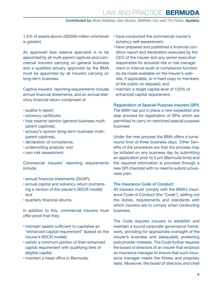1.5% of assets above USD500 million whichever is greater).

An approved loss reserve specialist is to be appointed by all multi-parent captives and commercial insurers carrying on general business and a qualified actuary approved by the BMA must be appointed by all insurers carrying on long-term business.

Captive insurers' reporting requirements include annual financial statements, and an annual statutory financial return comprised of:

- auditor's report;
- solvency certificate;
- loss reserve opinion (general business multiparent captives);
- actuary's opinion (long-term business multiparent captives);
- declaration of compliance;
- underwriting analysis; and
- own risk assessment.

Commercial insurers' reporting requirements include:

- annual financial statements (GAAP);
- annual capital and solvency return (comprising a version of the insurer's BSCR model); and
- quarterly financial returns.

In addition to this, commercial insurers must offer proof that they:

- maintain assets sufficient to capitalise an "enhanced capital requirement" (based on the insurer's BSCR model);
- satisfy a minimum portion of their enhanced capital requirement with qualifying tiers of eligible capital;
- maintain a head office in Bermuda;
- have conducted the commercial insurer's solvency self-assessment;
- have prepared and published a financial condition report and declaration executed by the CEO of the insurer and any senior executive responsible for actuarial risk or risk management or internal audit or compliance function (to be made available on the insurer's website, if applicable, or in hard copy to members of the public on request); and
- maintain a target capital level of 120% of enhanced capital requirement.

Registration of Special Purpose Insurers (SPI) The BMA has put in place a new expedited one step process for registration of SPIs which are permitted to carry on restricted special purpose business.

Under the new process the BMA offers a turnaround time of three business days. Other benefits of the procedure are that the process may be initiated on any business day by submitting an application prior to 5 pm (Bermuda time) and the required information is provided through a new SPI checklist with no need to submit a business plan.

#### The Insurance Code of Conduct

All insurers must comply with the BMA's Insurance Code of Conduct (the "Code"), setting out the duties, requirements and standards with which insurers are to comply when conducting business.

The Code requires insurers to establish and maintain a sound corporate governance framework, providing for appropriate oversight of the insurer's business and adequately protecting policyholder interests. The Code further requires the board of directors of an insurer that employs an insurance manager to ensure that such insurance manager meets the fitness and propriety tests. Moreover, the board of directors and chief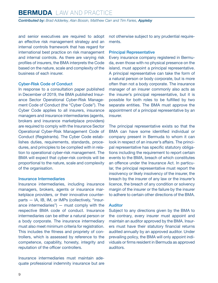*Contributed by: Brad Adderley, Alan Bossin, Matthew Carr and Tim Faries, Appleby*

and senior executives are required to adopt an effective risk management strategy and an internal controls framework that has regard for international best practice on risk management and internal controls. As there are varying risk profiles of insurers, the BMA interprets the Code based on the nature, scale and complexity of the business of each insurer.

#### Cyber-Risk Code of Conduct

In response to a consultation paper published in December of 2019, the BMA published Insurance Sector Operational Cyber-Risk Management Code of Conduct (the "Cyber Code"). The Cyber Code applies to all insurers, insurance managers and insurance intermediaries (agents, brokers and insurance marketplace providers) are required to comply with the Insurance Sector Operational Cyber-Risk Management Code of Conduct (Registrants). The Cyber Code establishes duties, requirements, standards, procedures, and principles to be complied with in relation to operational cyber-risk management. The BMA will expect that cyber-risk controls will be proportional to the nature, scale and complexity of the organisation.

#### Insurance Intermediaries

Insurance intermediaries, including insurance managers, brokers, agents or insurance marketplace providers, or their innovative counterparts - IA, IB, IM, or IMPs (collectively, "insurance intermediaries") — must comply with the respective BMA code of conduct. Insurance intermediaries can be either a natural person or a body corporate. The insurance intermediary must also meet minimum criteria for registration. This includes the fitness and propriety of controllers, which is assessed by reference to the competence, capability, honesty, integrity and reputation of the officer controllers.

Insurance intermediaries must maintain adequate professional indemnity insurance but are not otherwise subject to any prudential requirements.

#### Principal Representative

Every insurance company registered in Bermuda, even those with no physical presence on the island, must appoint a principal representative. A principal representative can take the form of a natural person or body corporate, but is more often than not a body corporate. The insurance manager of an insurer commonly also acts as the insurer's principal representative, but it is possible for both roles to be fulfilled by two separate entities. The BMA must approve the appointment of a principal representative by an insurer.

The principal representative exists so that the BMA can have some identified individual or company present in Bermuda to whom it can look in respect of an insurer's affairs. The principal representative has specific statutory obligations including the requirement to report certain events to the BMA, breach of which constitutes an offence under the Insurance Act. In particular, the principal representative must report the insolvency or likely insolvency of the insurer, the breach by the insurer of any law or the insurer's licence, the breach of any condition or solvency margin of the insurer or the failure by the insurer to adhere to certain other directions of the BMA.

#### Auditor

Subject to any directions given by the BMA to the contrary, every insurer must appoint and maintain an auditor approved by the BMA. Insurers must have their statutory financial returns audited annually by an approved auditor. Under prevailing policy, the BMA will only appoint individuals or firms resident in Bermuda as approved auditors.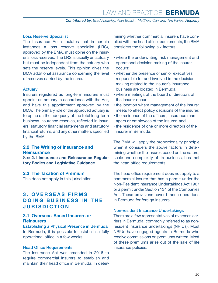#### <span id="page-9-0"></span>Loss Reserve Specialist

The Insurance Act stipulates that in certain instances a loss reserve specialist (LRS), approved by the BMA, must opine on the insurer's loss reserves. The LRS is usually an actuary but must be independent from the actuary who sets the reserve levels. This opinion gives the BMA additional assurance concerning the level of reserves carried by the insurer.

#### Actuary

Insurers registered as long-term insurers must appoint an actuary in accordance with the Act, and have this appointment approved by the BMA. The primary role of the approved actuary is to opine on the adequacy of the total long-term business insurance reserves, reflected in insurers' statutory financial statements and statutory financial returns, and any other matters specified by the BMA.

#### **2.2 The Writing of Insurance and Reinsurance**

See **2.1 Insurance and Reinsurance Regulatory Bodies and Legislative Guidance**.

#### **2.3 The Taxation of Premium**

This does not apply in this jurisdiction.

#### **3 . O V E R S E A S F I R M S DOING BUSINESS IN THE JURISDICTION**

#### **3.1 Overseas-Based Insurers or Reinsurers**

Establishing a Physical Presence in Bermuda In Bermuda, it is possible to establish a fully operational office in a few weeks.

#### Head Office Requirements

The Insurance Act was amended in 2016 to require commercial insurers to establish and maintain their head office in Bermuda. In determining whether commercial insurers have complied with the head office requirements, the BMA considers the following six factors:

- where the underwriting, risk management and operational decision making of the insurer occurs;
- whether the presence of senior executives responsible for and involved in the decision making related to the insurer's insurance business are located in Bermuda;
- where meetings of the board of directors of the insurer occur;
- the location where management of the insurer meets to effect policy decisions of the insurer;
- the residence of the officers, insurance managers or employees of the insurer; and
- the residence of one or more directors of the insurer in Bermuda.

The BMA will apply the proportionality principle when it considers the above factors in determining whether the insurer, based on the nature, scale and complexity of its business, has met the head office requirements.

The head office requirement does not apply to a commercial insurer that has a permit under the Non-Resident Insurance Undertakings Act 1967 or a permit under Section 134 of the Companies Act. These provisions cover branch operations in Bermuda for foreign insurers.

#### Non-resident Insurance Undertakings

There are a few representatives of overseas carriers in Bermuda, commonly referred to as nonresident insurance undertakings (NRIUs). Most NRIUs have engaged agents in Bermuda who receive commissions on premiums written. Most of these premiums arise out of the sale of life insurance policies.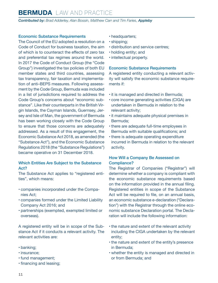*Contributed by: Brad Adderley, Alan Bossin, Matthew Carr and Tim Faries, Appleby*

#### Economic Substance Requirements

The Council of the EU adopted a resolution on a Code of Conduct for business taxation, the aim of which is to counteract the effects of zero tax and preferential tax regimes around the world. In 2017 the Code of Conduct Group (the "Code Group") investigated the tax policies of both EU member states and third countries, assessing tax transparency, fair taxation and implementation of anti–BEPS measures. Following assessment by the Code Group, Bermuda was included in a list of jurisdictions required to address the Code Group's concerns about "economic substance". Like their counterparts in the British Virgin Islands, the Cayman Islands, Guernsey, Jersey and Isle of Man, the government of Bermuda has been working closely with the Code Group to ensure that those concerns are adequately addressed. As a result of this engagement, the Economic Substance Act 2018, as amended (the "Substance Act"), and the Economic Substance Regulations 2018 (the "Substance Regulations") became operative on 31 December 2018.

#### Which Entities Are Subject to the Substance Act?

The Substance Act applies to "registered entities", which means:

- companies incorporated under the Companies Act;
- companies formed under the Limited Liability Company Act 2016; and
- partnerships (exempted, exempted limited or overseas).

A registered entity will be in scope of the Substance Act if it conducts a relevant activity. The relevant activities are:

- banking;
- insurance;
- fund management;
- financing and leasing;
- headquarters;
- shipping;
- distribution and service centres;
- holding entity; and
- intellectual property.

#### Economic Substance Requirements

A registered entity conducting a relevant activity will satisfy the economic substance requirements if:

- it is managed and directed in Bermuda;
- core income generating activities (CIGA) are undertaken in Bermuda in relation to the relevant activity;
- it maintains adequate physical premises in Bermuda;
- there are adequate full-time employees in Bermuda with suitable qualifications; and
- there is adequate operating expenditure incurred in Bermuda in relation to the relevant activity.

#### How Will a Company Be Assessed on Compliance?

The Registrar of Companies ("Registrar") will determine whether a company is compliant with the economic substance requirements based on the information provided in the annual filing. Registered entities in scope of the Substance Act will be required to file, on an annual basis, an economic substance e-declaration ("Declaration") with the Registrar through the online economic substance Declaration portal. The Declaration will include the following information:

- the nature and extent of the relevant activity including the CIGA undertaken by the relevant entity;
- the nature and extent of the entity's presence in Bermuda;
- whether the entity is managed and directed in or from Bermuda; and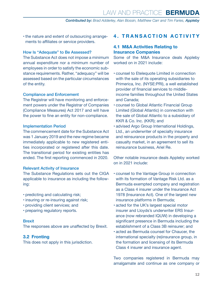<span id="page-11-0"></span>• the nature and extent of outsourcing arrangements to affiliates or service providers.

#### How Is "Adequate" to Be Assessed?

The Substance Act does not impose a minimum annual expenditure nor a minimum number of employees in order to satisfy the economic substance requirements. Rather, "adequacy" will be assessed based on the particular circumstances of the entity.

#### Compliance and Enforcement

The Registrar will have monitoring and enforcement powers under the Registrar of Companies (Compliance Measures) Act 2017 and will have the power to fine an entity for non-compliance.

#### Implementation Period

The commencement date for the Substance Act was 1 January 2019 and the new regime became immediately applicable to new registered entities incorporated or registered after this date. The transitional period for existing entities has ended. The first reporting commenced in 2020.

#### Relevant Activity of Insurance

The Substance Regulations sets out the CIGA applicable to insurance as including the following:

- predicting and calculating risk;
- insuring or re-insuring against risk;
- providing client services; and
- preparing regulatory reports.

#### Brexit

The responses above are unaffected by Brexit.

#### **3.2 Fronting**

This does not apply in this jurisdiction.

#### **4. TRANSACTION ACTIVITY**

#### **4.1 M&A Activities Relating to Insurance Companies**

Some of the M&A Insurance deals Appleby worked on in 2021 include:

- counsel to Etelequote Limited in connection with the sale of its operating subsidiaries to Primerica, Inc. (NYSE:PRI), a well established provider of financial services to middleincome families throughout the United States and Canada;
- counsel to Global Atlantic Financial Group Limited (Global Atlantic) in connection with the sale of Global Atlantic to a subsidiary of KKR & Co. Inc. (KKR); and
- advised Argo Group International Holdings, Ltd., an underwriter of specialty insurance and reinsurance products in the property and casualty market, in an agreement to sell its reinsurance business, Ariel Re.

Other notable insurance deals Appleby worked on in 2021 include:

- counsel to the Vantage Group in connection with its formation of Vantage Risk Ltd. as a Bermuda exempted company and registration as a Class 4 insurer under the Insurance Act 1978 (Insurance Act). One of the largest new insurance platforms in Bermuda;
- acted for the UK's largest special motor insurer and Lloyds's underwriter ERS Insurance (now rebranded IQUW) in developing a significant presence in Bermuda including the establishment of a Class 3B reinsurer; and
- acted as Bermuda counsel for Chaucer, the international specialty (re)insurance group, in the formation and licensing of its Bermuda Class 4 insurer and insurance agent.

Two companies registered in Bermuda may amalgamate and continue as one company or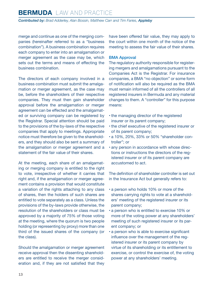*Contributed by: Brad Adderley, Alan Bossin, Matthew Carr and Tim Faries, Appleby*

merge and continue as one of the merging companies (hereinafter referred to as a "business combination"). A business combination requires each company to enter into an amalgamation or merger agreement as the case may be, which sets out the terms and means of effecting the business combination.

The directors of each company involved in a business combination must submit the amalgamation or merger agreement, as the case may be, before the shareholders of their respective companies. They must then gain shareholder approval before the amalgamation or merger agreement can be effected and the amalgamated or surviving company can be registered by the Registrar. Special attention should be paid to the provisions of the by-laws of the respective companies that apply to meetings. Appropriate notice must therefore be given to the shareholders, and they should also be sent a summary of the amalgamation or merger agreement and a statement of the fair value of their shares.

At the meeting, each share of an amalgamating or merging company is entitled to the right to vote, irrespective of whether it carries that right and, if the amalgamation or merger agreement contains a provision that would constitute a variation of the rights attaching to any class of shares, then the holders of such shares are entitled to vote separately as a class. Unless the provisions of the by-laws provide otherwise, the resolution of the shareholders or class must be approved by a majority of 75% of those voting at the meeting, where the quorum is two people holding (or representing by proxy) more than one third of the issued shares of the company (or the class).

Should the amalgamation or merger agreement receive approval then the dissenting shareholders are entitled to receive the merger consideration and, if they are not satisfied that they have been offered fair value, they may apply to the court within one month of the notice of the meeting to assess the fair value of their shares.

#### BMA Approval

The regulatory authority responsible for registering mergers and amalgamations pursuant to the Companies Act is the Registrar. For insurance companies, a BMA "no objection" or some form of notification will also be required as the BMA must remain informed of all the controllers of all registered insurers in Bermuda and any material changes to them. A "controller" for this purpose means:

- the managing director of the registered insurer or its parent company;
- the chief executive of the registered insurer or of its parent company;
- a 10%, 20%, 33% or 50% "shareholder controller"; or
- any person in accordance with whose directions or instructions the directors of the registered insurer or of its parent company are accustomed to act.

The definition of shareholder controller is set out in the Insurance Act but generally refers to:

- a person who holds 10% or more of the shares carrying rights to vote at a shareholders' meeting of the registered insurer or its parent company;
- a person who is entitled to exercise 10% or more of the voting power at any shareholders' meeting of such registered insurer or its parent company; or
- a person who is able to exercise significant influence over the management of the registered insurer or its parent company by virtue of its shareholding or its entitlement to exercise, or control the exercise of, the voting power at any shareholders' meeting.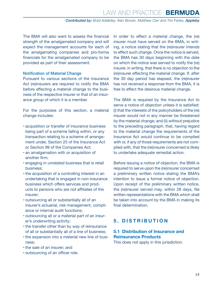<span id="page-13-0"></span>The BMA will also want to assess the financial strength of the amalgamated company and will expect the management accounts for each of the amalgamating companies and pro-forma financials for the amalgamated company to be provided as part of their assessment.

#### Notification of Material Change

Pursuant to various sections of the Insurance Act (re)insurers are required to notify the BMA before effecting a material change to the business of the respective insurer or that of an insurance group of which it is a member.

For the purposes of this section, a material change includes:

- acquisition or transfer of insurance business being part of a scheme falling within, or any transaction relating to a scheme of arrangement under, Section 25 of the Insurance Act or Section 99 of the Companies Act;
- an amalgamation with or acquisition of another firm;
- engaging in unrelated business that is retail business;
- the acquisition of a controlling interest in an undertaking that is engaged in non-insurance business which offers services and products to persons who are not affiliates of the insurer;
- outsourcing all or substantially all of an insurer's actuarial, risk management, compliance or internal audit functions;
- outsourcing all or a material part of an insurer's underwriting activity;
- the transfer other than by way of reinsurance of all or substantially all of a line of business;
- the expansion into a material new line of business;
- the sale of an insurer; and
- outsourcing of an officer role.

In order to effect a material change, the (re) insurer must have served on the BMA, in writing, a notice stating that the (re)insurer intends to effect such change. Once the notice is served, the BMA has 30 days beginning with the date on which the notice was served to notify the (re) insurer, in writing, that there is no objection to the (re)insurer effecting the material change. If, after the 30 day period has elapsed, the (re)insurer has not received a response from the BMA, it is free to effect the desirous material change.

The BMA is required by the Insurance Act to serve a notice of objection unless it is satisfied: (i) that the interests of the policyholders of the (re) insurer would not in any manner be threatened by the material change; and (ii) without prejudice to the preceding paragraph, that, having regard to the material change the requirements of the Insurance Act would continue to be complied with or, if any of those requirements are not complied with, that the (re)insurer concerned is likely to undertake adequate remedial action.

Before issuing a notice of objection, the BMA is required to serve upon the (re)insurer concerned a preliminary written notice stating the BMA's intention to issue a formal notice of objection. Upon receipt of the preliminary written notice, the (re)insurer served may, within 28 days, file written representations with the BMA which shall be taken into account by the BMA in making its final determination.

#### **5. DISTRIBUTION**

#### **5.1 Distribution of Insurance and Reinsurance Products**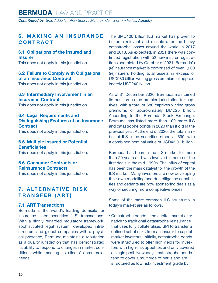#### <span id="page-14-0"></span>**6 . M A K I N G A N I N S U R A N C E CONTRACT**

#### **6.1 Obligations of the Insured and Insurer**

This does not apply in this jurisdiction.

#### **6.2 Failure to Comply with Obligations of an Insurance Contract**

This does not apply in this jurisdiction.

#### **6.3 Intermediary Involvement in an Insurance Contract**

This does not apply in this jurisdiction.

#### **6.4 Legal Requirements and Distinguishing Features of an Insurance Contract**

This does not apply in this jurisdiction.

#### **6.5 Multiple Insured or Potential Beneficiaries**

This does not apply in this jurisdiction.

#### **6.6 Consumer Contracts or Reinsurance Contracts**

This does not apply in this jurisdiction.

#### **7 . A LT E R N AT I V E R I S K TRANSFER (ART)**

#### **7.1 ART Transactions**

Bermuda is the world's leading domicile for insurance-linked securities (ILS) transactions. With a highly regarded regulatory framework, sophisticated legal system, developed infrastructure and global companies with a physical presence, Bermuda maintains a reputation as a quality jurisdiction that has demonstrated its ability to respond to changes in market conditions while meeting its clients' commercial needs.

The BMD100 billion ILS market has proven to be both relevant and reliable after the heavy catastrophe losses around the world in 2017 and 2018. As expected, in 2021 there was continued registration with 52 new insurer registrations completed by October of 2021. Bermuda's (re)insurance market is comprised of over 1,200 (re)insurers holding total assets in excess of USD980 billion writing gross premium of approximately USD240 billion.

As of 31 December 2020, Bermuda maintained its position as the premier jurisdiction for captives, with a total of 680 captives writing gross premiums of approximately BMD25 billion. According to the Bermuda Stock Exchange, Bermuda has listed more than 100 more ILS and catastrophe bonds in 2020 than it did in the previous year. At the end of 2020, the total number of ILS-listed securities stood at 590, with a combined nominal value of USD43.01 billion.

Bermuda has been in the ILS market for more than 20 years and was involved in some of the first deals in the mid-1990s. The influx of capital has been the main catalyst for the growth of the ILS market. Many investors are now developing their own modelling and due diligence capabilities and cedants are now sponsoring deals as a way of securing more competitive prices.

Some of the more common ILS structures in today's market are as follows.

• Catastrophe bonds – the capital market alternative to traditional catastrophe reinsurance that uses fully collateralised SPI to transfer a defined set of risks from an insurer to capital market investors. Initially, catastrophe bonds were structured to offer high yields for investors with high-risk appetites and only covered a single peril. Nowadays, catastrophe bonds tend to cover a multitude of perils and are structured as low risk/investment grade by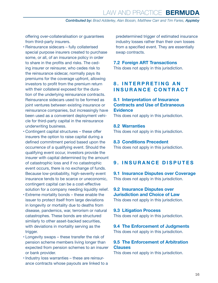<span id="page-15-0"></span>offering over-collateralisation or guarantees from third-party insurers.

- Reinsurance sidecars fully collaterised special purpose insurers created to purchase some, or all, of an insurance policy in order to share in the profits and risks. The ceding insurer or reinsurer, who cedes risk to the reinsurance sidecar, normally pays its premiums for the coverage upfront, allowing investors to profit from the premium return with their collateral exposed for the duration of the underlying reinsurance contracts. Reinsurance sidecars used to be formed as joint ventures between existing insurance or reinsurance companies, but increasingly have been used as a convenient deployment vehicle for third-party capital in the reinsurance underwriting business.
- Contingent capital structures these offer insurers the option to raise capital during a defined commitment period based upon the occurrence of a qualifying event. Should the qualifying event occur, investors provide the insurer with capital determined by the amount of catastrophic loss and if no catastrophic event occurs, there is no exchange of funds. Because low-probability, high-severity event insurance tends to be scarce or uneconomic, contingent capital can be a cost-effective solution for a company needing liquidity relief.
- Extreme mortality bonds these enable the issuer to protect itself from large deviations in longevity or mortality due to deaths from disease, pandemics, war, terrorism or natural catastrophes. These bonds are structured similarly to other asset-backed securities, with deviations in mortality serving as the trigger.
- Longevity swaps these transfer the risk of pension scheme members living longer than expected from pension schemes to an insurer or bank provider.
- Industry loss warranties these are reinsurance contracts whose payouts are linked to a

predetermined trigger of estimated insurance industry losses rather than their own losses from a specified event. They are essentially swap contracts.

#### **7.2 Foreign ART Transactions**

This does not apply in this jurisdiction.

#### **8 . I N T E R P R E T I N G A N INSURANCE CONTRACT**

#### **8.1 Interpretation of Insurance Contracts and Use of Extraneous Evidence**

This does not apply in this jurisdiction.

#### **8.2 Warranties**

This does not apply in this jurisdiction.

#### **8.3 Conditions Precedent**

This does not apply in this jurisdiction.

#### **9. INSURANCE DISPUTES**

**9.1 Insurance Disputes over Coverage** This does not apply in this jurisdiction.

**9.2 Insurance Disputes over Jurisdiction and Choice of Law** This does not apply in this jurisdiction.

#### **9.3 Litigation Process**

This does not apply in this jurisdiction.

#### **9.4 The Enforcement of Judgments** This does not apply in this jurisdiction.

#### **9.5 The Enforcement of Arbitration Clauses**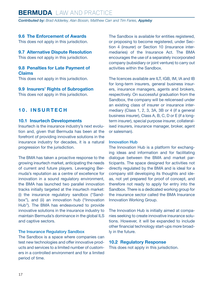<span id="page-16-0"></span>*Contributed by: Brad Adderley, Alan Bossin, Matthew Carr and Tim Faries, Appleby*

#### **9.6 The Enforcement of Awards**

This does not apply in this jurisdiction.

#### **9.7 Alternative Dispute Resolution**

This does not apply in this jurisdiction.

#### **9.8 Penalties for Late Payment of Claims**

This does not apply in this jurisdiction.

#### **9.9 Insurers' Rights of Subrogation**

This does not apply in this jurisdiction.

#### **1 0 . I N S U R T E C H**

#### **10.1 Insurtech Developments**

Insurtech is the insurance industry's next evolution and, given that Bermuda has been at the forefront of providing innovative solutions in the insurance industry for decades, it is a natural progression for the jurisdiction.

The BMA has taken a proactive response to the growing insurtech market, anticipating the needs of current and future players. Leveraging Bermuda's reputation as a centre of excellence for innovation in a sound regulatory environment, the BMA has launched two parallel innovation tracks initially targeted at the insurtech market: (i) the insurance regulatory sandbox ("Sandbox"), and (ii) an innovation hub ("Innovation Hub"). The BMA has endeavoured to provide innovative solutions in the insurance industry to maintain Bermuda's dominance in the global ILS and captive sectors.

#### The Insurance Regulatory Sandbox

The Sandbox is a space where companies can test new technologies and offer innovative products and services to a limited number of customers in a controlled environment and for a limited period of time.

The Sandbox is available for entities registered, or proposing to become registered, under Section 4 (insurer) or Section 10 (insurance intermediaries) of the Insurance Act. The BMA encourages the use of a separately incorporated company (subsidiary or joint venture) to carry out activities within the Sandbox.

The licences available are ILT, IGB, IM, IA and IB for long-term insurers, general business insurers, insurance managers, agents and brokers, respectively. On successful graduation from the Sandbox, the company will be relicensed under an existing class of insurer or insurance intermediary (Class 1, 2, 3, 3A, 3B or 4 (if a general business insurer), Class A, B, C, D or E (if a longterm insurer), special purpose insurer, collateralised insurers, insurance manager, broker, agent or salesman).

#### Innovation Hub

The Innovation Hub is a platform for exchanging ideas and information and for facilitating dialogue between the BMA and market participants. The space designed for activities not directly regulated by the BMA and is ideal for a company still developing its thoughts and ideas, not yet prepared for proof of concept, and therefore not ready to apply for entry into the Sandbox. There is a dedicated working group for the insurance sector called the BMA Insurance Innovation Working Group.

The Innovation Hub is initially aimed at companies seeking to create innovative insurance solutions. However, it will be expanded to include other financial technology start-ups more broadly in the future.

#### **10.2 Regulatory Response**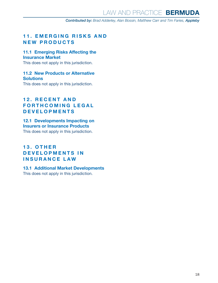#### <span id="page-17-0"></span>**11. EMERGING RISKS AND NEW PRODUCTS**

#### **11.1 Emerging Risks Affecting the Insurance Market**

This does not apply in this jurisdiction.

#### **11.2 New Products or Alternative Solutions**

This does not apply in this jurisdiction.

#### **12. RECENT AND FORTHCOMING LEGAL DEVELOPMENTS**

#### **12.1 Developments Impacting on Insurers or Insurance Products**

This does not apply in this jurisdiction.

#### **1 3 . O T H E R D E V E L O P M E N T S I N INSURANCE LAW**

#### **13.1 Additional Market Developments**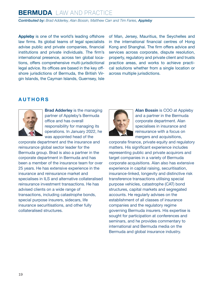*Contributed by: Brad Adderley, Alan Bossin, Matthew Carr and Tim Faries, Appleby*

**Appleby** is one of the world's leading offshore law firms. Its global teams of legal specialists advise public and private companies, financial institutions and private individuals. The firm's international presence, across ten global locations, offers comprehensive multi-jurisdictional legal advice. Its offices are based in the key offshore jurisdictions of Bermuda, the British Virgin Islands, the Cayman Islands, Guernsey, Isle of Man, Jersey, Mauritius, the Seychelles and in the international financial centres of Hong Kong and Shanghai. The firm offers advice and services across corporate, dispute resolution, property, regulatory and private client and trusts practice areas, and works to achieve practical solutions whether from a single location or across multiple jurisdictions.

#### <span id="page-18-0"></span>**AUTHORS**



**Brad Adderley** is the managing partner of Appleby's Bermuda office and has overall responsibility for managing its operations. In January 2022, he was appointed head of the

corporate department and the insurance and reinsurance global sector leader for the Bermuda group. Brad is also a partner in the corporate department in Bermuda and has been a member of the insurance team for over 25 years. He has extensive experience in the insurance and reinsurance market and specialises in ILS and alternative collateralised reinsurance investment transactions. He has advised clients on a wide range of transactions, including catastrophe bonds, special purpose insurers, sidecars, life insurance securitisations, and other fully collateralised structures.



**Alan Bossin** is COO at Appleby and a partner in the Bermuda corporate department. Alan specialises in insurance and reinsurance with a focus on mergers and acquisitions,

corporate finance, private equity and regulatory matters. His significant experience includes representing public and private acquirors and target companies in a variety of Bermuda corporate acquisitions. Alan also has extensive experience in capital raising, securitisation, insurance-linked, longevity and distinctive risk transference transactions utilising special purpose vehicles, catastrophe (CAT) bond structures, capital markets and segregated accounts. He regularly advises on the establishment of all classes of insurance companies and the regulatory regime governing Bermuda insurers. His expertise is sought for participation at conferences and seminars, and he provides commentary to international and Bermuda media on the Bermuda and global insurance industry.